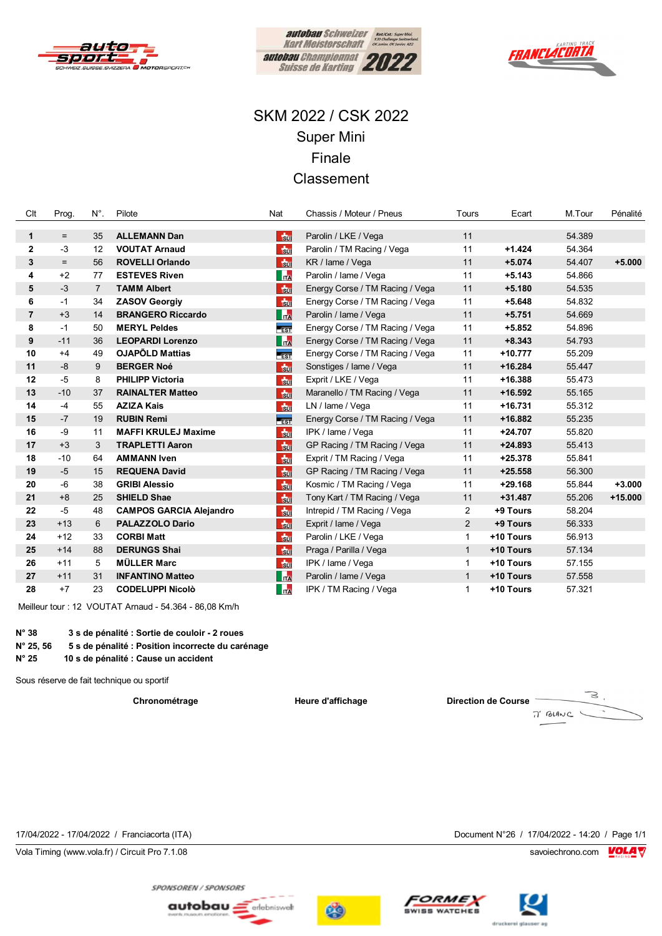





# SKM 2022 / CSK 2022 **Super Mini** Finale Classement

| Clt            | Prog. | $N^{\circ}$ .     | Pilote                         | Nat                     | Chassis / Moteur / Pneus        | Tours          | Ecart     | M.Tour | Pénalité  |
|----------------|-------|-------------------|--------------------------------|-------------------------|---------------------------------|----------------|-----------|--------|-----------|
|                |       |                   |                                |                         |                                 |                |           |        |           |
| $\mathbf{1}$   | $=$   | 35                | <b>ALLEMANN Dan</b>            | $\frac{1}{30}$          | Parolin / LKE / Vega            | 11             |           | 54.389 |           |
| $\mathbf{2}$   | $-3$  | $12 \overline{ }$ | <b>VOUTAT Arnaud</b>           | $\frac{1}{30}$          | Parolin / TM Racing / Vega      | 11             | $+1.424$  | 54.364 |           |
| 3              | $=$   | 56                | <b>ROVELLI Orlando</b>         | <b>Sur</b>              | KR / lame / Vega                | 11             | $+5.074$  | 54.407 | $+5.000$  |
| 4              | $+2$  | 77                | <b>ESTEVES Riven</b>           | $\overline{\mathbf{h}}$ | Parolin / Iame / Vega           | 11             | $+5.143$  | 54.866 |           |
| 5              | $-3$  | $\overline{7}$    | <b>TAMM Albert</b>             | $\frac{1}{20}$          | Energy Corse / TM Racing / Vega | 11             | $+5.180$  | 54.535 |           |
| 6              | $-1$  | 34                | <b>ZASOV Georgiv</b>           | $\frac{1}{30}$          | Energy Corse / TM Racing / Vega | 11             | $+5.648$  | 54.832 |           |
| $\overline{7}$ | $+3$  | 14                | <b>BRANGERO Riccardo</b>       | $\mathsf{h}$            | Parolin / Iame / Vega           | 11             | $+5.751$  | 54.669 |           |
| 8              | $-1$  | 50                | <b>MERYL Peldes</b>            | EST                     | Energy Corse / TM Racing / Vega | 11             | $+5.852$  | 54.896 |           |
| 9              | $-11$ | 36                | <b>LEOPARDI Lorenzo</b>        | $\mathbf{h}$            | Energy Corse / TM Racing / Vega | 11             | $+8.343$  | 54.793 |           |
| 10             | $+4$  | 49                | <b>OJAPÕLD Mattias</b>         | EST                     | Energy Corse / TM Racing / Vega | 11             | $+10.777$ | 55.209 |           |
| 11             | $-8$  | 9                 | <b>BERGER Noé</b>              | $\frac{1}{20}$          | Sonstiges / Iame / Vega         | 11             | $+16.284$ | 55.447 |           |
| 12             | $-5$  | 8                 | <b>PHILIPP Victoria</b>        | $\frac{1}{30}$          | Exprit / LKE / Vega             | 11             | $+16.388$ | 55.473 |           |
| 13             | $-10$ | 37                | <b>RAINALTER Matteo</b>        | $\frac{1}{20}$          | Maranello / TM Racing / Vega    | 11             | $+16.592$ | 55.165 |           |
| 14             | $-4$  | 55                | <b>AZIZA Kais</b>              | $\frac{1}{30}$          | LN / lame / Vega                | 11             | $+16.731$ | 55.312 |           |
| 15             | $-7$  | 19                | <b>RUBIN Remi</b>              | $F_{EST}$               | Energy Corse / TM Racing / Vega | 11             | $+16.882$ | 55.235 |           |
| 16             | -9    | 11                | <b>MAFFI KRULEJ Maxime</b>     | $\frac{1}{30}$          | IPK / lame / Vega               | 11             | $+24.707$ | 55.820 |           |
| 17             | $+3$  | 3                 | <b>TRAPLETTI Aaron</b>         | $\frac{1}{3}$ ul        | GP Racing / TM Racing / Vega    | 11             | $+24.893$ | 55.413 |           |
| 18             | $-10$ | 64                | <b>AMMANN Iven</b>             | $\frac{1}{20}$          | Exprit / TM Racing / Vega       | 11             | $+25.378$ | 55.841 |           |
| 19             | -5    | 15                | <b>REQUENA David</b>           | $\frac{1}{30}$          | GP Racing / TM Racing / Vega    | 11             | $+25.558$ | 56.300 |           |
| 20             | -6    | 38                | <b>GRIBI Alessio</b>           | $\frac{1}{30}$          | Kosmic / TM Racing / Vega       | 11             | $+29.168$ | 55.844 | $+3.000$  |
| 21             | $+8$  | 25                | <b>SHIELD Shae</b>             | $\frac{1}{30}$          | Tony Kart / TM Racing / Vega    | 11             | $+31.487$ | 55.206 | $+15.000$ |
| 22             | $-5$  | 48                | <b>CAMPOS GARCIA Alejandro</b> | $\frac{1}{30}$          | Intrepid / TM Racing / Vega     | $\overline{2}$ | +9 Tours  | 58.204 |           |
| 23             | $+13$ | 6                 | <b>PALAZZOLO Dario</b>         | $F_{\rm Sun}$           | Exprit / Iame / Vega            | 2              | +9 Tours  | 56.333 |           |
| 24             | $+12$ | 33                | <b>CORBI Matt</b>              | $\frac{1}{30}$          | Parolin / LKE / Vega            | 1              | +10 Tours | 56.913 |           |
| 25             | $+14$ | 88                | <b>DERUNGS Shai</b>            | $\frac{1}{30}$          | Praga / Parilla / Vega          | $\mathbf{1}$   | +10 Tours | 57.134 |           |
| 26             | $+11$ | 5                 | <b>MÜLLER Marc</b>             | $\frac{1}{30}$          | IPK / lame / Vega               | $\mathbf{1}$   | +10 Tours | 57.155 |           |
| 27             | $+11$ | 31                | <b>INFANTINO Matteo</b>        | $\mathbf{m}$            | Parolin / lame / Vega           | $\mathbf{1}$   | +10 Tours | 57.558 |           |
| 28             | $+7$  | 23                | <b>CODELUPPI Nicolò</b>        | <b>ITA</b>              | IPK / TM Racing / Vega          | $\mathbf{1}$   | +10 Tours | 57.321 |           |

Meilleur tour : 12 VOUTAT Arnaud - 54.364 - 86,08 Km/h

 $N^{\circ}$  38 3 s de pénalité : Sortie de couloir - 2 roues N° 25, 56 5 s de pénalité : Position incorrecte du carénage

 $N^{\circ} 25$ 10 s de pénalité : Cause un accident

Sous réserve de fait technique ou sportif

Chronométrage

Heure d'affichage

**Direction de Course** 



17/04/2022 - 17/04/2022 / Franciacorta (ITA)

Vola Timing (www.vola.fr) / Circuit Pro 7.1.08

Document N°26 / 17/04/2022 - 14:20 / Page 1/1

savoiechrono.com **VOLA** 







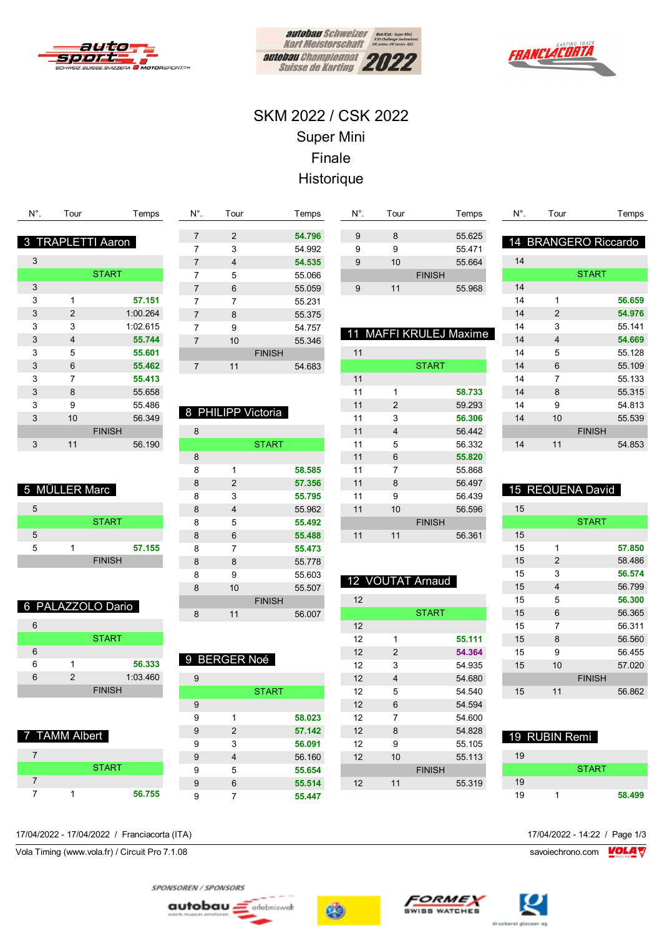





# SKM 2022 / CSK 2022 Super Mini Finale Historique

| N°. | Tour           | Temps                  |
|-----|----------------|------------------------|
|     |                |                        |
| 8   |                | <b>TRAPLETTI Aaron</b> |
| 3   |                |                        |
|     |                | <b>START</b>           |
| 3   |                |                        |
| 3   | 1              | 57.151                 |
| 3   | 2              | 1:00.264               |
| 3   | 3              | 1:02.615               |
| 3   | $\overline{4}$ | 55.744                 |
| 3   | 5              | 55.601                 |
| 3   | 6              | 55.462                 |
| 3   | 7              | 55.413                 |
| 3   | 8              | 55.658                 |
| 3   | 9              | 55.486                 |
| 3   | 10             | 56.349                 |
|     |                | <b>FINISH</b>          |
| 3   | 11             | 56.190                 |
|     |                |                        |

| $N^{\circ}$ .  | Tour           | Temps         |  |
|----------------|----------------|---------------|--|
|                |                |               |  |
| 7              | 2              | 54.796        |  |
| 7              | 3              | 54.992        |  |
| 7              | 4              | 54.535        |  |
| 7              | 5              | 55.066        |  |
| 7              | 6              | 55.059        |  |
| 7              | $\overline{7}$ | 55.231        |  |
| $\overline{7}$ | 8              | 55.375        |  |
| 7              | 9              | 54.757        |  |
| $\overline{7}$ | 10             | 55.346        |  |
|                |                | <b>FINISH</b> |  |
| 7              | 11             | 54.683        |  |
|                |                |               |  |

### 8 PHILIPP Victoria

| 8 |                |               |        |
|---|----------------|---------------|--------|
|   |                | <b>START</b>  |        |
| 8 |                |               |        |
| 8 | 1              |               | 58.585 |
| 8 | $\overline{2}$ |               | 57.356 |
| 8 | 3              |               | 55.795 |
| 8 | 4              |               | 55.962 |
| 8 | 5              |               | 55.492 |
| 8 | 6              |               | 55.488 |
| 8 | 7              |               | 55.473 |
| 8 | 8              |               | 55.778 |
| 8 | 9              |               | 55.603 |
| 8 | 10             |               | 55.507 |
|   |                | <b>FINISH</b> |        |
| 8 | 11             |               | 56.007 |

9 BERGER Noé

**START** 

 1 **58.023** 2 **57.142** 3 **56.091** 4 56.160 5 **55.654** 6 **55.514** 7 **55.447**

#### 6 PALAZZOLO Dario

**START** 

 1 **57.155** FINISH

5 MÜLLER Marc

| 6 |               |               |
|---|---------------|---------------|
|   |               | <b>START</b>  |
| 6 |               |               |
| 6 |               | 56.333        |
| 6 | $\mathcal{P}$ | 1:03.460      |
|   |               | <b>FINISH</b> |

#### 7 TAMM Albert

|  | <b>START</b> |        |
|--|--------------|--------|
|  |              |        |
|  |              | 56.755 |

17/04/2022 - 17/04/2022 / Franciacorta (ITA) 17/04/2022 - 14:22 / Page 1/3

Vola Timing (www.vola.fr) / Circuit Pro 7.1.08 savoiechrono.com **VOLA V** 

 8 55.625 9 55.471 10 55.664 FINISH 11 55.968 11 MAFFI KRULEJ Maxime

N°. Tour Temps

| 11 |                |               |
|----|----------------|---------------|
|    |                | <b>START</b>  |
| 11 |                |               |
| 11 | 1              | 58.733        |
| 11 | $\overline{2}$ | 59.293        |
| 11 | 3              | 56.306        |
| 11 | 4              | 56.442        |
| 11 | 5              | 56.332        |
| 11 | 6              | 55.820        |
| 11 | 7              | 55.868        |
| 11 | 8              | 56.497        |
| 11 | 9              | 56.439        |
| 11 | 10             | 56.596        |
|    |                | <b>FINISH</b> |
| 11 | 11             | 56.361        |

## 12 VOUTAT Arnaud

| 12 |                |               |        |
|----|----------------|---------------|--------|
|    |                | <b>START</b>  |        |
| 12 |                |               |        |
| 12 | 1              |               | 55.111 |
| 12 | $\overline{2}$ |               | 54.364 |
| 12 | 3              |               | 54.935 |
| 12 | 4              |               | 54.680 |
| 12 | 5              |               | 54.540 |
| 12 | 6              |               | 54.594 |
| 12 | 7              |               | 54.600 |
| 12 | 8              |               | 54.828 |
| 12 | 9              |               | 55.105 |
| 12 | 10             |               | 55.113 |
|    |                | <b>FINISH</b> |        |
| 12 | 11             |               | 55.319 |
|    |                |               |        |

| N°. | Tour           | Temps                |
|-----|----------------|----------------------|
|     |                |                      |
|     |                | 14 BRANGERO Riccardo |
| 14  |                |                      |
|     |                | <b>START</b>         |
| 14  |                |                      |
| 14  | 1              | 56.659               |
| 14  | $\overline{2}$ | 54.976               |
| 14  | 3              | 55.141               |
| 14  | 4              | 54.669               |
| 14  | 5              | 55.128               |
| 14  | 6              | 55.109               |
| 14  | 7              | 55.133               |
| 14  | 8              | 55.315               |
| 14  | 9              | 54.813               |
| 14  | 10             | 55.539               |
|     |                | <b>FINISH</b>        |
| 14  | 11             | 54.853               |

### 15 REQUENA David

| 15 |                |               |        |
|----|----------------|---------------|--------|
|    |                | <b>START</b>  |        |
| 15 |                |               |        |
| 15 | 1              |               | 57.850 |
| 15 | $\overline{2}$ |               | 58.486 |
| 15 | 3              |               | 56.574 |
| 15 | 4              |               | 56.799 |
| 15 | 5              |               | 56.300 |
| 15 | 6              |               | 56.365 |
| 15 | 7              |               | 56.311 |
| 15 | 8              |               | 56.560 |
| 15 | 9              |               | 56.455 |
| 15 | 10             |               | 57.020 |
|    |                | <b>FINISH</b> |        |
| 15 | 11             |               | 56.862 |
|    |                |               |        |

### 19 RUBIN Remi

| 19 |              |        |
|----|--------------|--------|
|    | <b>START</b> |        |
| 19 |              |        |
| 19 |              | 58,499 |

SPONSOREN / SPONSORS



T





autobau <u>=</u> erlebniswelt

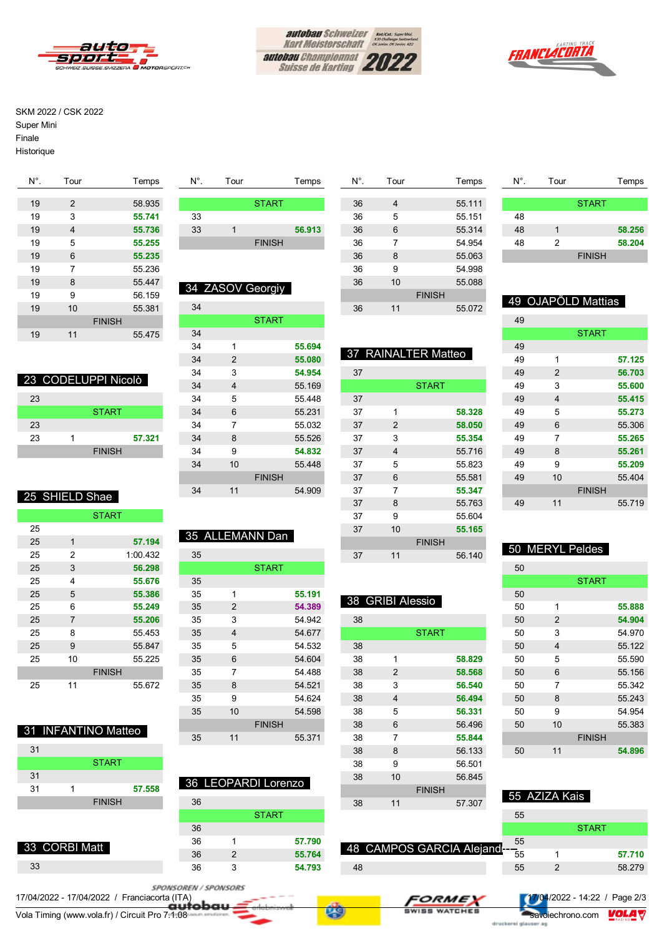





#### SKM 2022 / CSK 2022

Super Mini

Finale

Historique

| $N^{\circ}$ . | Tour | Temps         |
|---------------|------|---------------|
|               |      |               |
| 19            | 2    | 58.935        |
| 19            | 3    | 55.741        |
| 19            | 4    | 55.736        |
| 19            | 5    | 55.255        |
| 19            | 6    | 55.235        |
| 19            | 7    | 55.236        |
| 19            | 8    | 55.447        |
| 19            | 9    | 56.159        |
| 19            | 10   | 55.381        |
|               |      | <b>FINISH</b> |
| 19            | 11   | 55.475        |
|               |      |               |

|    | 23 CODELUPPI Nicolò |
|----|---------------------|
| 23 |                     |
|    | <b>START</b>        |
|    |                     |

```
23
23 1 57.321
       FINISH
```
### 25 SHIELD Shae

|    |                | <b>START</b>  |
|----|----------------|---------------|
| 25 |                |               |
| 25 | 1              | 57.194        |
| 25 | $\overline{2}$ | 1:00.432      |
| 25 | 3              | 56.298        |
| 25 | 4              | 55.676        |
| 25 | 5              | 55.386        |
| 25 | 6              | 55.249        |
| 25 | $\overline{7}$ | 55.206        |
| 25 | 8              | 55.453        |
| 25 | 9              | 55.847        |
| 25 | 10             | 55.225        |
|    |                | <b>FINISH</b> |
| 25 | 11             | 55.672        |

|    |  | 31 INFANTINO Matteo |        |
|----|--|---------------------|--------|
| 31 |  |                     |        |
|    |  | <b>START</b>        |        |
| 31 |  |                     |        |
| 31 |  |                     | 57.558 |
|    |  | <b>FINISH</b>       |        |
|    |  |                     |        |

|    | 33 CORBI Matt |  |
|----|---------------|--|
| 33 |               |  |

|    | <b>START</b>  |        |
|----|---------------|--------|
| 33 |               |        |
| 33 |               | 56.913 |
|    | <b>FINISH</b> |        |
|    |               |        |

N°. Tour Temps

### 34 ZASOV Georgiy

| 34 |                |               |        |
|----|----------------|---------------|--------|
|    |                | <b>START</b>  |        |
| 34 |                |               |        |
| 34 | 1              |               | 55.694 |
| 34 | $\overline{2}$ |               | 55.080 |
| 34 | 3              |               | 54.954 |
| 34 | 4              |               | 55.169 |
| 34 | 5              |               | 55.448 |
| 34 | 6              |               | 55.231 |
| 34 | 7              |               | 55.032 |
| 34 | 8              |               | 55.526 |
| 34 | 9              |               | 54.832 |
| 34 | 10             |               | 55.448 |
|    |                | <b>FINISH</b> |        |
| 34 | 11             |               | 54.909 |
|    |                |               |        |

# 35 ALLEMANN Dan

|    |                | <b>START</b>  |        |
|----|----------------|---------------|--------|
| 35 |                |               |        |
| 35 | 1              |               | 55.191 |
| 35 | 2              |               | 54.389 |
| 35 | 3              |               | 54.942 |
| 35 | $\overline{4}$ |               | 54.677 |
| 35 | 5              |               | 54.532 |
| 35 | 6              |               | 54.604 |
| 35 | 7              |               | 54.488 |
| 35 | 8              |               | 54.521 |
| 35 | 9              |               | 54.624 |
| 35 | 10             |               | 54.598 |
|    |                | <b>FINISH</b> |        |
| 35 | 11             |               | 55.371 |

| 8 |    |               | 36 LEOPARDI Lorenzo |
|---|----|---------------|---------------------|
|   | 36 |               |                     |
|   |    |               | <b>START</b>        |
|   | 36 |               |                     |
|   | 36 |               | 57.790              |
|   | 36 | $\mathcal{P}$ | 55.764              |
|   | 36 |               | 54.793              |

| N°. | Tour |               | Temps  |  |
|-----|------|---------------|--------|--|
|     |      |               |        |  |
| 36  | 4    |               | 55.111 |  |
| 36  | 5    |               | 55.151 |  |
| 36  | 6    |               | 55.314 |  |
| 36  | 7    |               | 54.954 |  |
| 36  | 8    |               | 55.063 |  |
| 36  | 9    |               | 54.998 |  |
| 36  | 10   |               | 55.088 |  |
|     |      | <b>FINISH</b> |        |  |
| 36  | 11   |               | 55.072 |  |
|     |      |               |        |  |

37 RAINALTER Matteo

**START** 

38 GRIBI Alessio

**START** 

### N°. Tour Temps **START**  1 **58.256** 2 **58.204** FINISH

### 49 OJAPÕLD Mattias

| 49 |               |               |        |
|----|---------------|---------------|--------|
|    |               | <b>START</b>  |        |
| 49 |               |               |        |
| 49 | 1             |               | 57.125 |
| 49 | $\mathcal{P}$ |               | 56.703 |
| 49 | 3             |               | 55.600 |
| 49 | 4             |               | 55.415 |
| 49 | 5             |               | 55.273 |
| 49 | 6             |               | 55.306 |
| 49 | 7             |               | 55.265 |
| 49 | 8             |               | 55.261 |
| 49 | 9             |               | 55.209 |
| 49 | 10            |               | 55.404 |
|    |               | <b>FINISH</b> |        |
| 49 | 11            |               | 55.719 |
|    |               |               |        |

## 50 MERYL Peldes

| 50 |    |               |        |
|----|----|---------------|--------|
|    |    | <b>START</b>  |        |
| 50 |    |               |        |
| 50 | 1  |               | 55.888 |
| 50 | 2  |               | 54.904 |
| 50 | 3  |               | 54.970 |
| 50 | 4  |               | 55.122 |
| 50 | 5  |               | 55.590 |
| 50 | 6  |               | 55.156 |
| 50 | 7  |               | 55.342 |
| 50 | 8  |               | 55.243 |
| 50 | 9  |               | 54.954 |
| 50 | 10 |               | 55.383 |
|    |    | <b>FINISH</b> |        |
| 50 | 11 |               | 54.896 |

|    |    | <b>FINISH</b>            |    | 55  AZIZA Kais |              |  |
|----|----|--------------------------|----|----------------|--------------|--|
| 38 | 11 | 57.307                   |    |                |              |  |
|    |    |                          | 55 |                |              |  |
|    |    |                          |    |                | <b>START</b> |  |
|    |    |                          | 55 |                |              |  |
|    |    | 48 CAMPOS GARCIA Alejand |    |                |              |  |

| 55 | 58.279                                       |
|----|----------------------------------------------|
|    |                                              |
|    | $\blacksquare$ 17/04/2022 - 14:22 / Page 2/3 |

1 **57.710**

### SPONSOREN / SPONSORS

Vola Timing (www.vola.fr) / Circuit Pro 7.1.08 savoiechrono.com VOLA V 17/04/2022 - 17/04/2022 / Franciacorta (ITA)

| FORME -       |
|---------------|
| SWISS WATCHES |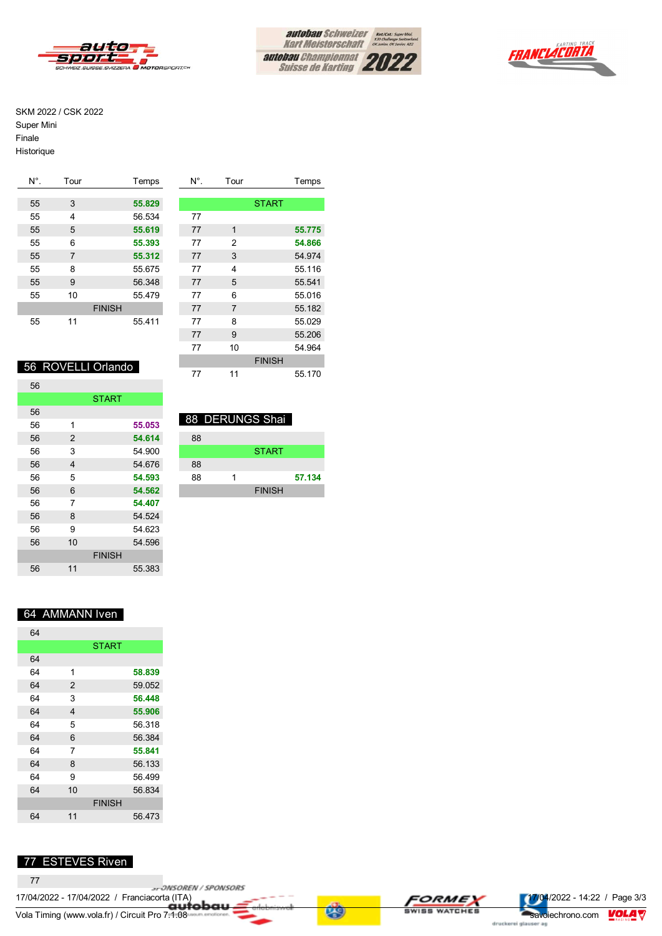







#### SKM 2022 / CSK 2022

Super Mini

Finale

Historique

| $N^{\circ}$ . | Tour |               | Temps  | $N^{\circ}$ . | Tour           |              | Temps  |
|---------------|------|---------------|--------|---------------|----------------|--------------|--------|
|               |      |               |        |               |                |              |        |
| 55            | 3    |               | 55.829 |               |                | <b>START</b> |        |
| 55            | 4    |               | 56.534 | 77            |                |              |        |
| 55            | 5    |               | 55.619 | 77            | 1              |              | 55.775 |
| 55            | 6    |               | 55.393 | 77            | 2              |              | 54.866 |
| 55            | 7    |               | 55.312 | 77            | 3              |              | 54.974 |
| 55            | 8    |               | 55.675 | 77            | 4              |              | 55.116 |
| 55            | 9    |               | 56.348 | 77            | 5              |              | 55.541 |
| 55            | 10   |               | 55.479 | 77            | 6              |              | 55.016 |
|               |      | <b>FINISH</b> |        | 77            | $\overline{7}$ |              | 55.182 |
| 55            | 11   |               | 55.411 | 77            | 8              |              | 55.029 |
|               |      |               |        | 77            | 9              |              | 55.206 |
|               |      |               |        | 77            | 10             |              | 54.964 |

### 56 ROVELLI Orlando

| 56 |    |               |        |
|----|----|---------------|--------|
|    |    | <b>START</b>  |        |
| 56 |    |               |        |
| 56 | 1  |               | 55.053 |
| 56 | 2  |               | 54.614 |
| 56 | 3  |               | 54.900 |
| 56 | 4  |               | 54.676 |
| 56 | 5  |               | 54.593 |
| 56 | 6  |               | 54.562 |
| 56 | 7  |               | 54.407 |
| 56 | 8  |               | 54.524 |
| 56 | 9  |               | 54.623 |
| 56 | 10 |               | 54.596 |
|    |    | <b>FINISH</b> |        |
| 56 | 11 |               | 55.383 |

| 88 DERUNGS Shai |  |
|-----------------|--|
|                 |  |

| 88 |               |        |
|----|---------------|--------|
|    | <b>START</b>  |        |
| 88 |               |        |
| 88 |               | 57.134 |
|    | <b>FINISH</b> |        |

FINISH 11 55.170

### 64 AMMANN Iven

| 64 |    |               |        |
|----|----|---------------|--------|
|    |    | <b>START</b>  |        |
| 64 |    |               |        |
| 64 | 1  |               | 58.839 |
| 64 | 2  |               | 59.052 |
| 64 | 3  |               | 56.448 |
| 64 | 4  |               | 55.906 |
| 64 | 5  |               | 56.318 |
| 64 | 6  |               | 56.384 |
| 64 | 7  |               | 55.841 |
| 64 | 8  |               | 56.133 |
| 64 | 9  |               | 56.499 |
| 64 | 10 |               | 56.834 |
|    |    | <b>FINISH</b> |        |
| 64 | 11 |               | 56.473 |

### 77 ESTEVES Riven